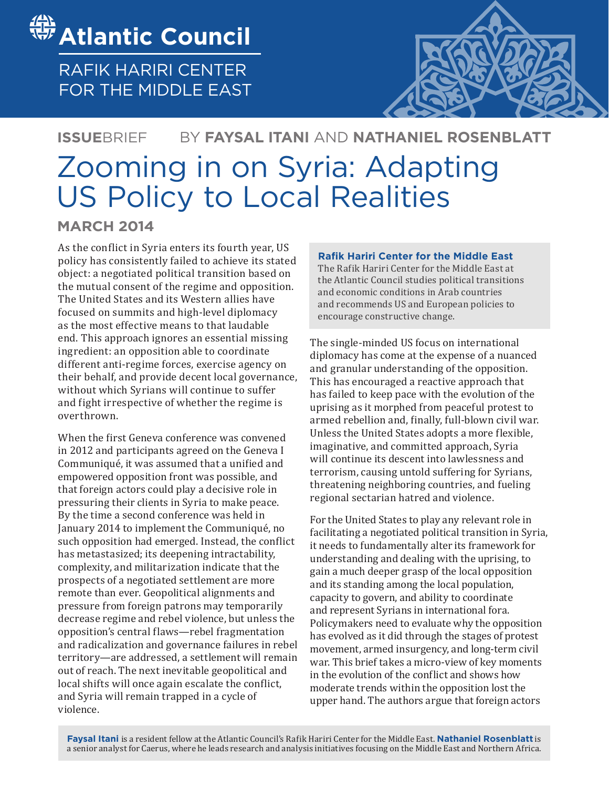

RAFIK HARIRI CENTER FOR THE MIDDLE EAST



# Zooming in on Syria: Adapting US Policy to Local Realities BY **FAYSAL ITANI** AND **NATHANIEL ROSENBLATT ISSUE**BRIEF

**MARCH 2014**

As the conflict in Syria enters its fourth year, US policy has consistently failed to achieve its stated object: a negotiated political transition based on the mutual consent of the regime and opposition. The United States and its Western allies have focused on summits and high-level diplomacy as the most effective means to that laudable end. This approach ignores an essential missing ingredient: an opposition able to coordinate different anti-regime forces, exercise agency on their behalf, and provide decent local governance, without which Syrians will continue to suffer and fight irrespective of whether the regime is overthrown.

When the first Geneva conference was convened in 2012 and participants agreed on the Geneva I Communiqué, it was assumed that a unified and empowered opposition front was possible, and that foreign actors could play a decisive role in pressuring their clients in Syria to make peace. By the time a second conference was held in January 2014 to implement the Communiqué, no such opposition had emerged. Instead, the conflict has metastasized; its deepening intractability, complexity, and militarization indicate that the prospects of a negotiated settlement are more remote than ever. Geopolitical alignments and pressure from foreign patrons may temporarily decrease regime and rebel violence, but unless the opposition's central flaws—rebel fragmentation and radicalization and governance failures in rebel territory—are addressed, a settlement will remain out of reach. The next inevitable geopolitical and local shifts will once again escalate the conflict, and Syria will remain trapped in a cycle of violence.

### **Rafik Hariri Center for the Middle East**

The Rafik Hariri Center for the Middle East at the Atlantic Council studies political transitions and economic conditions in Arab countries and recommends US and European policies to encourage constructive change.

The single-minded US focus on international diplomacy has come at the expense of a nuanced and granular understanding of the opposition. This has encouraged a reactive approach that has failed to keep pace with the evolution of the uprising as it morphed from peaceful protest to armed rebellion and, finally, full-blown civil war. Unless the United States adopts a more flexible, imaginative, and committed approach, Syria will continue its descent into lawlessness and terrorism, causing untold suffering for Syrians, threatening neighboring countries, and fueling regional sectarian hatred and violence.

For the United States to play any relevant role in facilitating a negotiated political transition in Syria, it needs to fundamentally alter its framework for understanding and dealing with the uprising, to gain a much deeper grasp of the local opposition and its standing among the local population, capacity to govern, and ability to coordinate and represent Syrians in international fora. Policymakers need to evaluate why the opposition has evolved as it did through the stages of protest movement, armed insurgency, and long-term civil war. This brief takes a micro-view of key moments in the evolution of the conflict and shows how moderate trends within the opposition lost the upper hand. The authors argue that foreign actors

**Faysal Itani** is a resident fellow at the Atlantic Council's Rafik Hariri Center for the Middle East. **Nathaniel Rosenblatt** is a senior analyst for Caerus, where he leads research and analysis initiatives focusing on the Middle East and Northern Africa.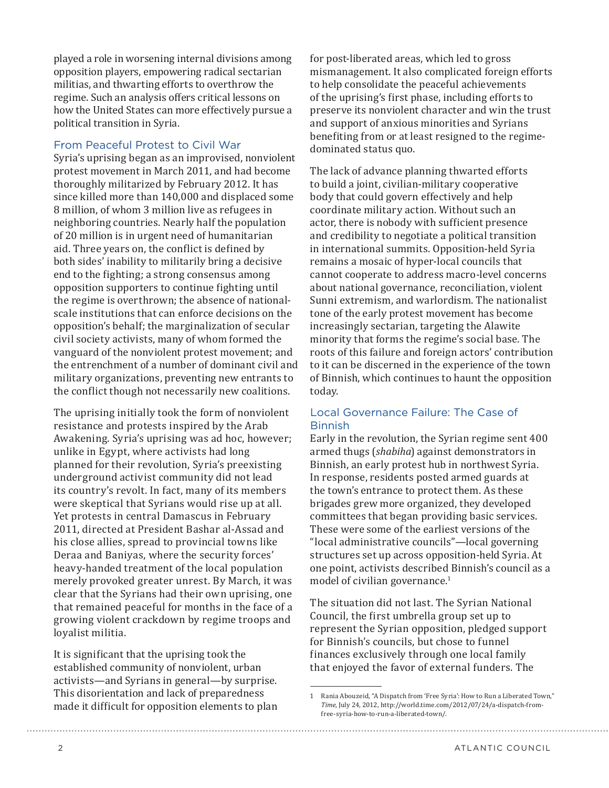played a role in worsening internal divisions among opposition players, empowering radical sectarian militias, and thwarting efforts to overthrow the regime. Such an analysis offers critical lessons on how the United States can more effectively pursue a political transition in Syria.

# From Peaceful Protest to Civil War

Syria's uprising began as an improvised, nonviolent protest movement in March 2011, and had become thoroughly militarized by February 2012. It has since killed more than 140,000 and displaced some 8 million, of whom 3 million live as refugees in neighboring countries. Nearly half the population of 20 million is in urgent need of humanitarian aid. Three years on, the conflict is defined by both sides' inability to militarily bring a decisive end to the fighting; a strong consensus among opposition supporters to continue fighting until the regime is overthrown; the absence of nationalscale institutions that can enforce decisions on the opposition's behalf; the marginalization of secular civil society activists, many of whom formed the vanguard of the nonviolent protest movement; and the entrenchment of a number of dominant civil and military organizations, preventing new entrants to the conflict though not necessarily new coalitions.

The uprising initially took the form of nonviolent resistance and protests inspired by the Arab Awakening. Syria's uprising was ad hoc, however; unlike in Egypt, where activists had long planned for their revolution, Syria's preexisting underground activist community did not lead its country's revolt. In fact, many of its members were skeptical that Syrians would rise up at all. Yet protests in central Damascus in February 2011, directed at President Bashar al-Assad and his close allies, spread to provincial towns like Deraa and Baniyas, where the security forces' heavy-handed treatment of the local population merely provoked greater unrest. By March, it was clear that the Syrians had their own uprising, one that remained peaceful for months in the face of a growing violent crackdown by regime troops and loyalist militia.

It is significant that the uprising took the established community of nonviolent, urban activists—and Syrians in general—by surprise. This disorientation and lack of preparedness made it difficult for opposition elements to plan

for post-liberated areas, which led to gross mismanagement. It also complicated foreign efforts to help consolidate the peaceful achievements of the uprising's first phase, including efforts to preserve its nonviolent character and win the trust and support of anxious minorities and Syrians benefiting from or at least resigned to the regimedominated status quo.

The lack of advance planning thwarted efforts to build a joint, civilian-military cooperative body that could govern effectively and help coordinate military action. Without such an actor, there is nobody with sufficient presence and credibility to negotiate a political transition in international summits. Opposition-held Syria remains a mosaic of hyper-local councils that cannot cooperate to address macro-level concerns about national governance, reconciliation, violent Sunni extremism, and warlordism. The nationalist tone of the early protest movement has become increasingly sectarian, targeting the Alawite minority that forms the regime's social base. The roots of this failure and foreign actors' contribution to it can be discerned in the experience of the town of Binnish, which continues to haunt the opposition today.

# Local Governance Failure: The Case of Binnish

Early in the revolution, the Syrian regime sent 400 armed thugs (*shabiha*) against demonstrators in Binnish, an early protest hub in northwest Syria. In response, residents posted armed guards at the town's entrance to protect them. As these brigades grew more organized, they developed committees that began providing basic services. These were some of the earliest versions of the "local administrative councils"—local governing structures set up across opposition-held Syria. At one point, activists described Binnish's council as a model of civilian governance.<sup>1</sup>

The situation did not last. The Syrian National Council, the first umbrella group set up to represent the Syrian opposition, pledged support for Binnish's councils, but chose to funnel finances exclusively through one local family that enjoyed the favor of external funders. The

<sup>1</sup> Rania Abouzeid, "A Dispatch from 'Free Syria': How to Run a Liberated Town," *Time*, July 24, 2012, [http://world.time.com/2012/07/24/a-dispatch-from](http://world.time.com/2012/07/24/a-dispatch-from-free-syria-how-to-run-a-liberated-town/.)[free-syria-how-to-run-a-liberated-town/.](http://world.time.com/2012/07/24/a-dispatch-from-free-syria-how-to-run-a-liberated-town/.)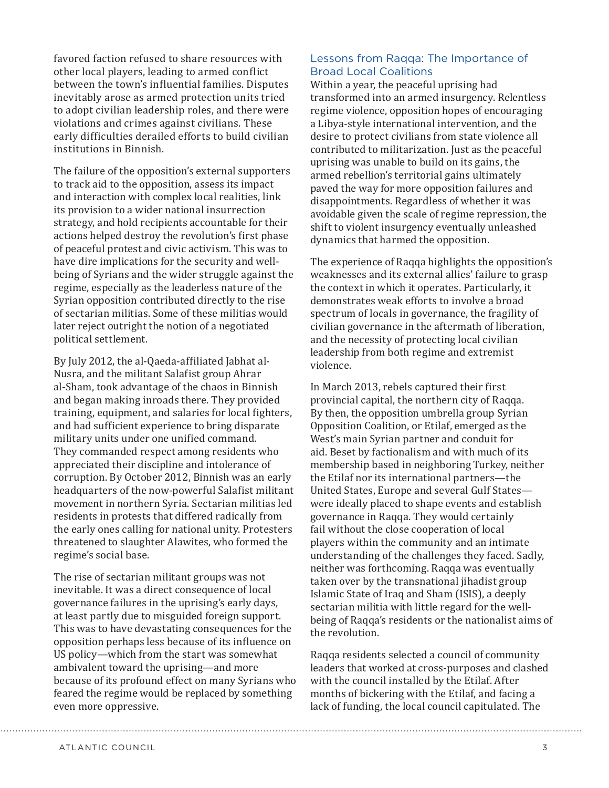favored faction refused to share resources with other local players, leading to armed conflict between the town's influential families. Disputes inevitably arose as armed protection units tried to adopt civilian leadership roles, and there were violations and crimes against civilians. These early difficulties derailed efforts to build civilian institutions in Binnish.

The failure of the opposition's external supporters to track aid to the opposition, assess its impact and interaction with complex local realities, link its provision to a wider national insurrection strategy, and hold recipients accountable for their actions helped destroy the revolution's first phase of peaceful protest and civic activism. This was to have dire implications for the security and wellbeing of Syrians and the wider struggle against the regime, especially as the leaderless nature of the Syrian opposition contributed directly to the rise of sectarian militias. Some of these militias would later reject outright the notion of a negotiated political settlement.

By July 2012, the al-Qaeda-affiliated Jabhat al-Nusra, and the militant Salafist group Ahrar al-Sham, took advantage of the chaos in Binnish and began making inroads there. They provided training, equipment, and salaries for local fighters, and had sufficient experience to bring disparate military units under one unified command. They commanded respect among residents who appreciated their discipline and intolerance of corruption. By October 2012, Binnish was an early headquarters of the now-powerful Salafist militant movement in northern Syria. Sectarian militias led residents in protests that differed radically from the early ones calling for national unity. Protesters threatened to slaughter Alawites, who formed the regime's social base.

The rise of sectarian militant groups was not inevitable. It was a direct consequence of local governance failures in the uprising's early days, at least partly due to misguided foreign support. This was to have devastating consequences for the opposition perhaps less because of its influence on US policy—which from the start was somewhat ambivalent toward the uprising—and more because of its profound effect on many Syrians who feared the regime would be replaced by something even more oppressive.

## Lessons from Raqqa: The Importance of Broad Local Coalitions

Within a year, the peaceful uprising had transformed into an armed insurgency. Relentless regime violence, opposition hopes of encouraging a Libya-style international intervention, and the desire to protect civilians from state violence all contributed to militarization. Just as the peaceful uprising was unable to build on its gains, the armed rebellion's territorial gains ultimately paved the way for more opposition failures and disappointments. Regardless of whether it was avoidable given the scale of regime repression, the shift to violent insurgency eventually unleashed dynamics that harmed the opposition.

The experience of Raqqa highlights the opposition's weaknesses and its external allies' failure to grasp the context in which it operates. Particularly, it demonstrates weak efforts to involve a broad spectrum of locals in governance, the fragility of civilian governance in the aftermath of liberation, and the necessity of protecting local civilian leadership from both regime and extremist violence.

In March 2013, rebels captured their first provincial capital, the northern city of Raqqa. By then, the opposition umbrella group Syrian Opposition Coalition, or Etilaf, emerged as the West's main Syrian partner and conduit for aid. Beset by factionalism and with much of its membership based in neighboring Turkey, neither the Etilaf nor its international partners—the United States, Europe and several Gulf States were ideally placed to shape events and establish governance in Raqqa. They would certainly fail without the close cooperation of local players within the community and an intimate understanding of the challenges they faced. Sadly, neither was forthcoming. Raqqa was eventually taken over by the transnational jihadist group Islamic State of Iraq and Sham (ISIS), a deeply sectarian militia with little regard for the wellbeing of Raqqa's residents or the nationalist aims of the revolution.

Raqqa residents selected a council of community leaders that worked at cross-purposes and clashed with the council installed by the Etilaf. After months of bickering with the Etilaf, and facing a lack of funding, the local council capitulated. The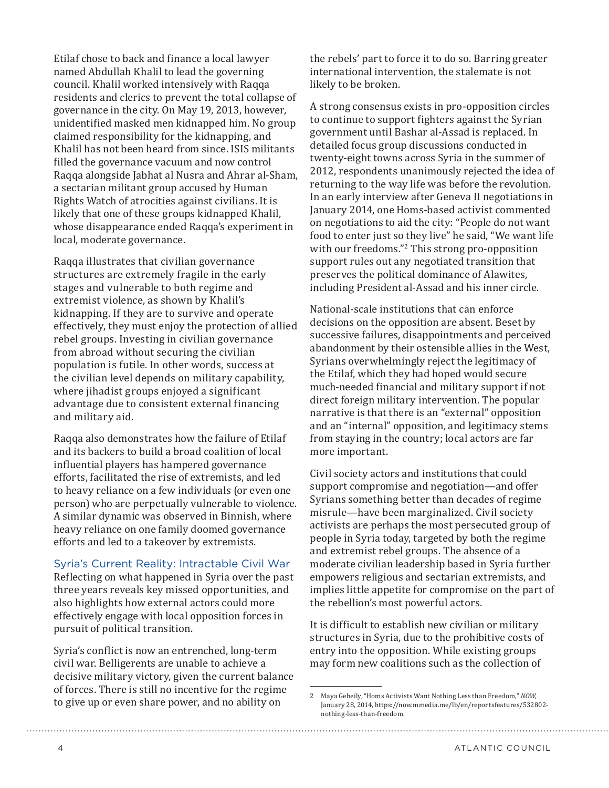Etilaf chose to back and finance a local lawyer named Abdullah Khalil to lead the governing council. Khalil worked intensively with Raqqa residents and clerics to prevent the total collapse of governance in the city. On May 19, 2013, however, unidentified masked men kidnapped him. No group claimed responsibility for the kidnapping, and Khalil has not been heard from since. ISIS militants filled the governance vacuum and now control Raqqa alongside Jabhat al Nusra and Ahrar al-Sham, a sectarian militant group accused by Human Rights Watch of atrocities against civilians. It is likely that one of these groups kidnapped Khalil, whose disappearance ended Raqqa's experiment in local, moderate governance.

Raqqa illustrates that civilian governance structures are extremely fragile in the early stages and vulnerable to both regime and extremist violence, as shown by Khalil's kidnapping. If they are to survive and operate effectively, they must enjoy the protection of allied rebel groups. Investing in civilian governance from abroad without securing the civilian population is futile. In other words, success at the civilian level depends on military capability, where jihadist groups enjoyed a significant advantage due to consistent external financing and military aid.

Raqqa also demonstrates how the failure of Etilaf and its backers to build a broad coalition of local influential players has hampered governance efforts, facilitated the rise of extremists, and led to heavy reliance on a few individuals (or even one person) who are perpetually vulnerable to violence. A similar dynamic was observed in Binnish, where heavy reliance on one family doomed governance efforts and led to a takeover by extremists.

#### Syria's Current Reality: Intractable Civil War

Reflecting on what happened in Syria over the past three years reveals key missed opportunities, and also highlights how external actors could more effectively engage with local opposition forces in pursuit of political transition.

Syria's conflict is now an entrenched, long-term civil war. Belligerents are unable to achieve a decisive military victory, given the current balance of forces. There is still no incentive for the regime to give up or even share power, and no ability on

the rebels' part to force it to do so. Barring greater international intervention, the stalemate is not likely to be broken.

A strong consensus exists in pro-opposition circles to continue to support fighters against the Syrian government until Bashar al-Assad is replaced. In detailed focus group discussions conducted in twenty-eight towns across Syria in the summer of 2012, respondents unanimously rejected the idea of returning to the way life was before the revolution. In an early interview after Geneva II negotiations in January 2014, one Homs-based activist commented on negotiations to aid the city: "People do not want food to enter just so they live" he said, "We want life with our freedoms."<sup>2</sup> This strong pro-opposition support rules out any negotiated transition that preserves the political dominance of Alawites, including President al-Assad and his inner circle.

National-scale institutions that can enforce decisions on the opposition are absent. Beset by successive failures, disappointments and perceived abandonment by their ostensible allies in the West, Syrians overwhelmingly reject the legitimacy of the Etilaf, which they had hoped would secure much-needed financial and military support if not direct foreign military intervention. The popular narrative is that there is an "external" opposition and an "internal" opposition, and legitimacy stems from staying in the country; local actors are far more important.

Civil society actors and institutions that could support compromise and negotiation—and offer Syrians something better than decades of regime misrule—have been marginalized. Civil society activists are perhaps the most persecuted group of people in Syria today, targeted by both the regime and extremist rebel groups. The absence of a moderate civilian leadership based in Syria further empowers religious and sectarian extremists, and implies little appetite for compromise on the part of the rebellion's most powerful actors.

It is difficult to establish new civilian or military structures in Syria, due to the prohibitive costs of entry into the opposition. While existing groups may form new coalitions such as the collection of

<sup>2</sup> Maya Gebeily, "Homs Activists Want Nothing Less than Freedom," *NOW*, January 28, 2014, [https://now.mmedia.me/lb/en/reportsfeatures/532802](https://now.mmedia.me/lb/en/reportsfeatures/532802-nothing-less-than-freedom) [nothing-less-than-freedom.](https://now.mmedia.me/lb/en/reportsfeatures/532802-nothing-less-than-freedom)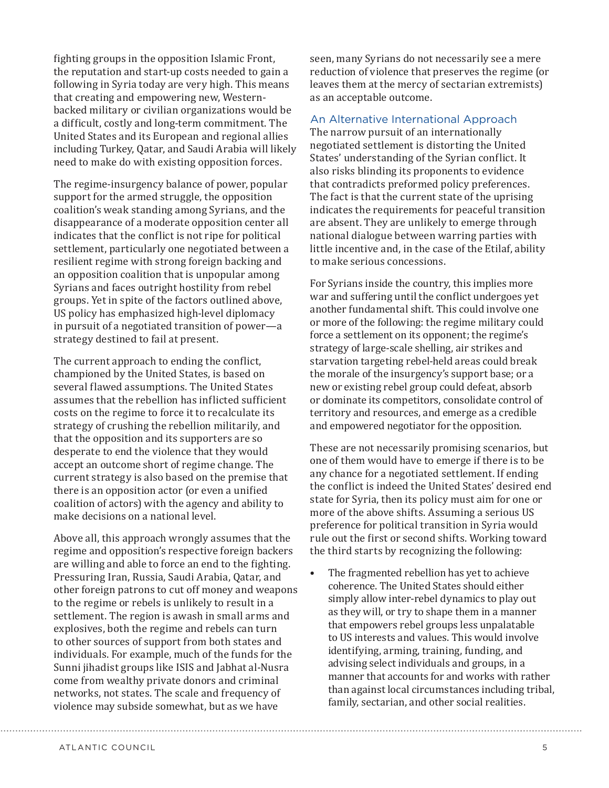fighting groups in the opposition Islamic Front, the reputation and start-up costs needed to gain a following in Syria today are very high. This means that creating and empowering new, Westernbacked military or civilian organizations would be a difficult, costly and long-term commitment. The United States and its European and regional allies including Turkey, Qatar, and Saudi Arabia will likely need to make do with existing opposition forces.

The regime-insurgency balance of power, popular support for the armed struggle, the opposition coalition's weak standing among Syrians, and the disappearance of a moderate opposition center all indicates that the conflict is not ripe for political settlement, particularly one negotiated between a resilient regime with strong foreign backing and an opposition coalition that is unpopular among Syrians and faces outright hostility from rebel groups. Yet in spite of the factors outlined above, US policy has emphasized high-level diplomacy in pursuit of a negotiated transition of power—a strategy destined to fail at present.

The current approach to ending the conflict, championed by the United States, is based on several flawed assumptions. The United States assumes that the rebellion has inflicted sufficient costs on the regime to force it to recalculate its strategy of crushing the rebellion militarily, and that the opposition and its supporters are so desperate to end the violence that they would accept an outcome short of regime change. The current strategy is also based on the premise that there is an opposition actor (or even a unified coalition of actors) with the agency and ability to make decisions on a national level.

Above all, this approach wrongly assumes that the regime and opposition's respective foreign backers are willing and able to force an end to the fighting. Pressuring Iran, Russia, Saudi Arabia, Qatar, and other foreign patrons to cut off money and weapons to the regime or rebels is unlikely to result in a settlement. The region is awash in small arms and explosives, both the regime and rebels can turn to other sources of support from both states and individuals. For example, much of the funds for the Sunni jihadist groups like ISIS and Jabhat al-Nusra come from wealthy private donors and criminal networks, not states. The scale and frequency of violence may subside somewhat, but as we have

seen, many Syrians do not necessarily see a mere reduction of violence that preserves the regime (or leaves them at the mercy of sectarian extremists) as an acceptable outcome.

An Alternative International Approach

The narrow pursuit of an internationally negotiated settlement is distorting the United States' understanding of the Syrian conflict. It also risks blinding its proponents to evidence that contradicts preformed policy preferences. The fact is that the current state of the uprising indicates the requirements for peaceful transition are absent. They are unlikely to emerge through national dialogue between warring parties with little incentive and, in the case of the Etilaf, ability to make serious concessions.

For Syrians inside the country, this implies more war and suffering until the conflict undergoes yet another fundamental shift. This could involve one or more of the following: the regime military could force a settlement on its opponent; the regime's strategy of large-scale shelling, air strikes and starvation targeting rebel-held areas could break the morale of the insurgency's support base; or a new or existing rebel group could defeat, absorb or dominate its competitors, consolidate control of territory and resources, and emerge as a credible and empowered negotiator for the opposition.

These are not necessarily promising scenarios, but one of them would have to emerge if there is to be any chance for a negotiated settlement. If ending the conflict is indeed the United States' desired end state for Syria, then its policy must aim for one or more of the above shifts. Assuming a serious US preference for political transition in Syria would rule out the first or second shifts. Working toward the third starts by recognizing the following:

• The fragmented rebellion has yet to achieve coherence. The United States should either simply allow inter-rebel dynamics to play out as they will, or try to shape them in a manner that empowers rebel groups less unpalatable to US interests and values. This would involve identifying, arming, training, funding, and advising select individuals and groups, in a manner that accounts for and works with rather than against local circumstances including tribal, family, sectarian, and other social realities.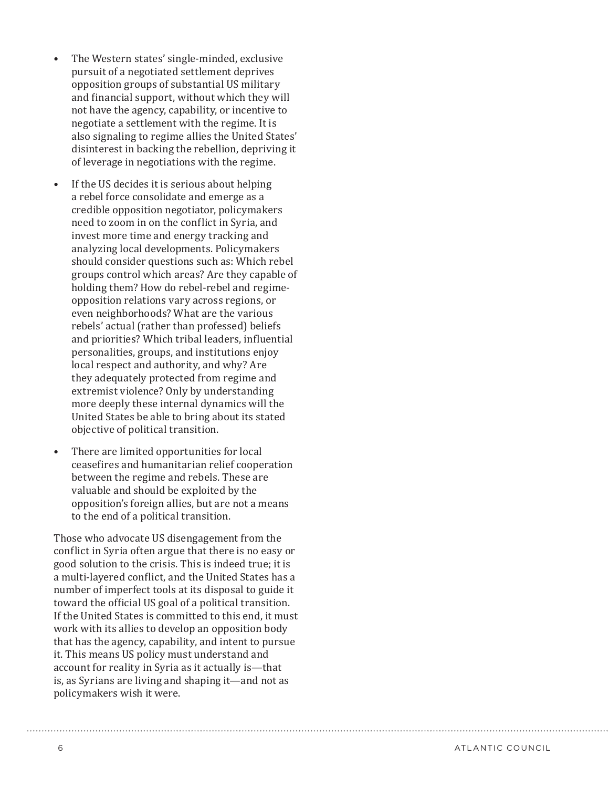- The Western states' single-minded, exclusive pursuit of a negotiated settlement deprives opposition groups of substantial US military and financial support, without which they will not have the agency, capability, or incentive to negotiate a settlement with the regime. It is also signaling to regime allies the United States' disinterest in backing the rebellion, depriving it of leverage in negotiations with the regime.
- If the US decides it is serious about helping a rebel force consolidate and emerge as a credible opposition negotiator, policymakers need to zoom in on the conflict in Syria, and invest more time and energy tracking and analyzing local developments. Policymakers should consider questions such as: Which rebel groups control which areas? Are they capable of holding them? How do rebel-rebel and regimeopposition relations vary across regions, or even neighborhoods? What are the various rebels' actual (rather than professed) beliefs and priorities? Which tribal leaders, influential personalities, groups, and institutions enjoy local respect and authority, and why? Are they adequately protected from regime and extremist violence? Only by understanding more deeply these internal dynamics will the United States be able to bring about its stated objective of political transition.
- There are limited opportunities for local ceasefires and humanitarian relief cooperation between the regime and rebels. These are valuable and should be exploited by the opposition's foreign allies, but are not a means to the end of a political transition.

Those who advocate US disengagement from the conflict in Syria often argue that there is no easy or good solution to the crisis. This is indeed true; it is a multi-layered conflict, and the United States has a number of imperfect tools at its disposal to guide it toward the official US goal of a political transition. If the United States is committed to this end, it must work with its allies to develop an opposition body that has the agency, capability, and intent to pursue it. This means US policy must understand and account for reality in Syria as it actually is—that is, as Syrians are living and shaping it—and not as policymakers wish it were.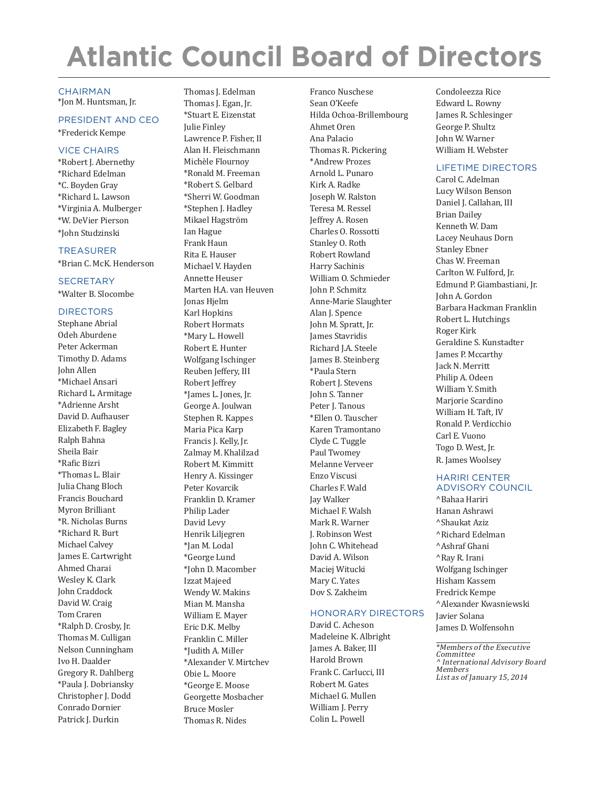# **Atlantic Council Board of Directors**

#### **CHAIRMAN**

\*Jon M. Huntsman, Jr.

#### PRESIDENT AND CEO

\*Frederick Kempe

#### VICE CHAIRS

\*Robert J. Abernethy \*Richard Edelman \*C. Boyden Gray \*Richard L. Lawson \*Virginia A. Mulberger \*W. DeVier Pierson \*John Studzinski

#### TREASURER

\*Brian C. McK. Henderson

#### **SECRETARY**

\*Walter B. Slocombe

#### DIRECTORS

Stephane Abrial Odeh Aburdene Peter Ackerman Timothy D. Adams John Allen \*Michael Ansari Richard L. Armitage \*Adrienne Arsht David D. Aufhauser Elizabeth F. Bagley Ralph Bahna Sheila Bair \*Rafic Bizri \*Thomas L. Blair Julia Chang Bloch Francis Bouchard Myron Brilliant \*R. Nicholas Burns \*Richard R. Burt Michael Calvey James E. Cartwright Ahmed Charai Wesley K. Clark John Craddock David W. Craig Tom Craren \*Ralph D. Crosby, Jr. Thomas M. Culligan Nelson Cunningham Ivo H. Daalder Gregory R. Dahlberg \*Paula J. Dobriansky Christopher J. Dodd Conrado Dornier Patrick J. Durkin

Thomas J. Edelman Thomas J. Egan, Jr. \*Stuart E. Eizenstat Julie Finley Lawrence P. Fisher, II Alan H. Fleischmann Michèle Flournoy \*Ronald M. Freeman \*Robert S. Gelbard \*Sherri W. Goodman \*Stephen J. Hadley Mikael Hagström Ian Hague Frank Haun Rita E. Hauser Michael V. Hayden Annette Heuser Marten H.A. van Heuven Jonas Hjelm Karl Hopkins Robert Hormats \*Mary L. Howell Robert E. Hunter Wolfgang Ischinger Reuben Jeffery, III Robert Jeffrey \*James L. Jones, Jr. George A. Joulwan Stephen R. Kappes Maria Pica Karp Francis J. Kelly, Jr. Zalmay M. Khalilzad Robert M. Kimmitt Henry A. Kissinger Peter Kovarcik Franklin D. Kramer Philip Lader David Levy Henrik Liljegren \*Jan M. Lodal \*George Lund \*John D. Macomber Izzat Majeed Wendy W. Makins Mian M. Mansha William E. Mayer Eric D.K. Melby Franklin C. Miller \*Judith A. Miller \*Alexander V. Mirtchev Obie L. Moore \*George E. Moose Georgette Mosbacher Bruce Mosler Thomas R. Nides

Franco Nuschese Sean O'Keefe Hilda Ochoa-Brillembourg Ahmet Oren Ana Palacio Thomas R. Pickering \*Andrew Prozes Arnold L. Punaro Kirk A. Radke Joseph W. Ralston Teresa M. Ressel Jeffrey A. Rosen Charles O. Rossotti Stanley O. Roth Robert Rowland Harry Sachinis William O. Schmieder John P. Schmitz Anne-Marie Slaughter Alan J. Spence John M. Spratt, Jr. James Stavridis Richard J.A. Steele James B. Steinberg \*Paula Stern Robert J. Stevens John S. Tanner Peter J. Tanous \*Ellen O. Tauscher Karen Tramontano Clyde C. Tuggle Paul Twomey Melanne Verveer Enzo Viscusi Charles F. Wald Jay Walker Michael F. Walsh Mark R. Warner J. Robinson West John C. Whitehead David A. Wilson Maciej Witucki Mary C. Yates Dov S. Zakheim

#### HONORARY DIRECTORS

David C. Acheson Madeleine K. Albright James A. Baker, III Harold Brown Frank C. Carlucci, III Robert M. Gates Michael G. Mullen William J. Perry Colin L. Powell

Condoleezza Rice Edward L. Rowny James R. Schlesinger George P. Shultz John W. Warner William H. Webster

#### LIFETIME DIRECTORS

Carol C. Adelman Lucy Wilson Benson Daniel J. Callahan, III Brian Dailey Kenneth W. Dam Lacey Neuhaus Dorn Stanley Ebner Chas W. Freeman Carlton W. Fulford, Jr. Edmund P. Giambastiani, Jr. John A. Gordon Barbara Hackman Franklin Robert L. Hutchings Roger Kirk Geraldine S. Kunstadter James P. Mccarthy Jack N. Merritt Philip A. Odeen William Y. Smith Marjorie Scardino William H. Taft, IV Ronald P. Verdicchio Carl E. Vuono Togo D. West, Jr. R. James Woolsey

#### HARIRI CENTER ADVISORY COUNCIL

^Bahaa Hariri Hanan Ashrawi ^Shaukat Aziz ^Richard Edelman ^Ashraf Ghani ^Ray R. Irani Wolfgang Ischinger Hisham Kassem Fredrick Kempe ^Alexander Kwasniewski Javier Solana James D. Wolfensohn

\*Members of the Executive **Committee** ^ International Advisory Board Members List as of January 15, 2014